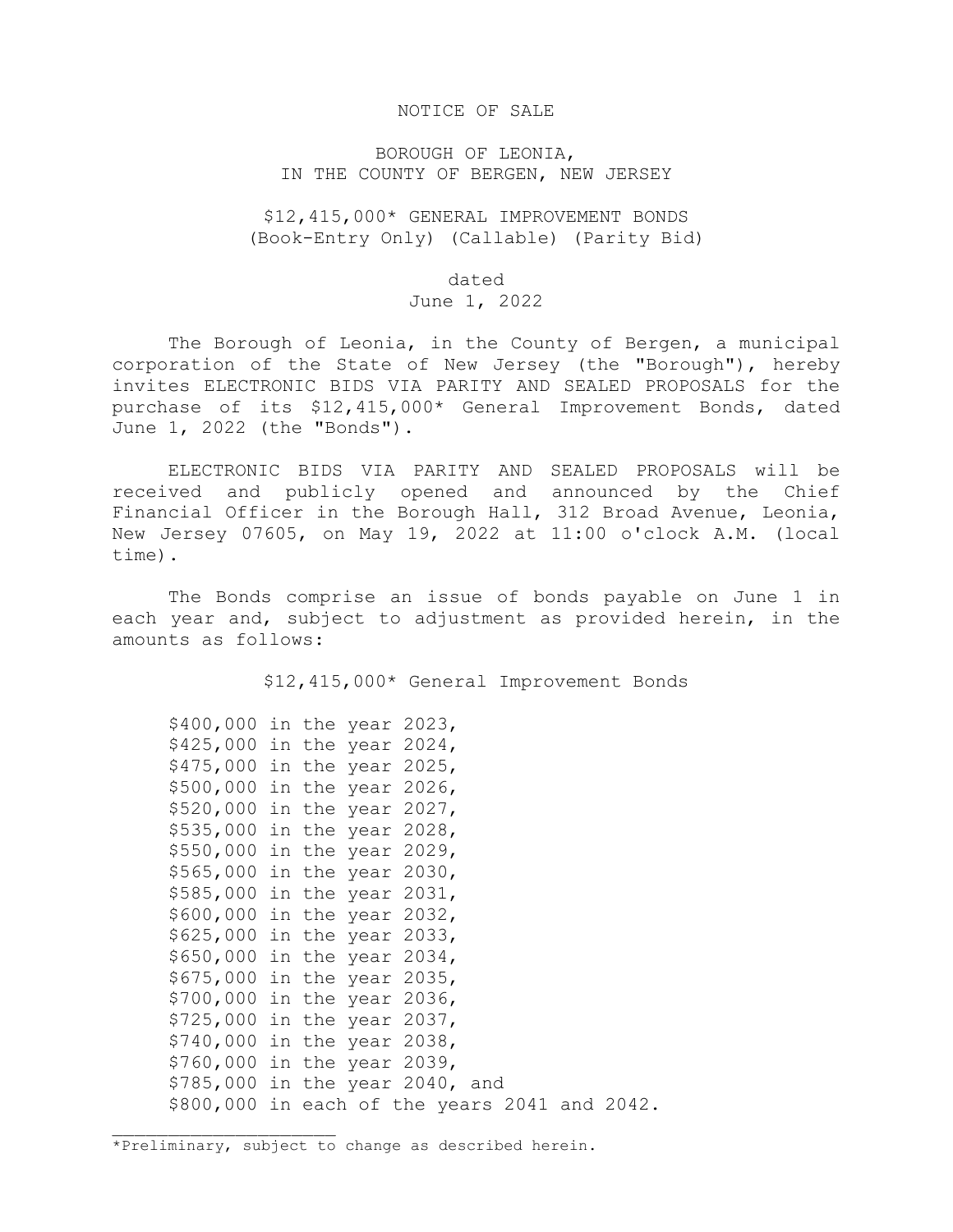#### NOTICE OF SALE

# BOROUGH OF LEONIA, IN THE COUNTY OF BERGEN, NEW JERSEY

\$12,415,000\* GENERAL IMPROVEMENT BONDS (Book-Entry Only) (Callable) (Parity Bid)

#### dated

### June 1, 2022

The Borough of Leonia, in the County of Bergen, a municipal corporation of the State of New Jersey (the "Borough"), hereby invites ELECTRONIC BIDS VIA PARITY AND SEALED PROPOSALS for the purchase of its \$12,415,000\* General Improvement Bonds, dated June 1, 2022 (the "Bonds").

ELECTRONIC BIDS VIA PARITY AND SEALED PROPOSALS will be received and publicly opened and announced by the Chief Financial Officer in the Borough Hall, 312 Broad Avenue, Leonia, New Jersey 07605, on May 19, 2022 at 11:00 o'clock A.M. (local time).

The Bonds comprise an issue of bonds payable on June 1 in each year and, subject to adjustment as provided herein, in the amounts as follows:

\$12,415,000\* General Improvement Bonds

\$400,000 in the year 2023, \$425,000 in the year 2024, \$475,000 in the year 2025, \$500,000 in the year 2026, \$520,000 in the year 2027, \$535,000 in the year 2028, \$550,000 in the year 2029, \$565,000 in the year 2030, \$585,000 in the year 2031, \$600,000 in the year 2032, \$625,000 in the year 2033, \$650,000 in the year 2034, \$675,000 in the year 2035, \$700,000 in the year 2036, \$725,000 in the year 2037, \$740,000 in the year 2038, \$760,000 in the year 2039, \$785,000 in the year 2040, and \$800,000 in each of the years 2041 and 2042.

\*Preliminary, subject to change as described herein.

\_\_\_\_\_\_\_\_\_\_\_\_\_\_\_\_\_\_\_\_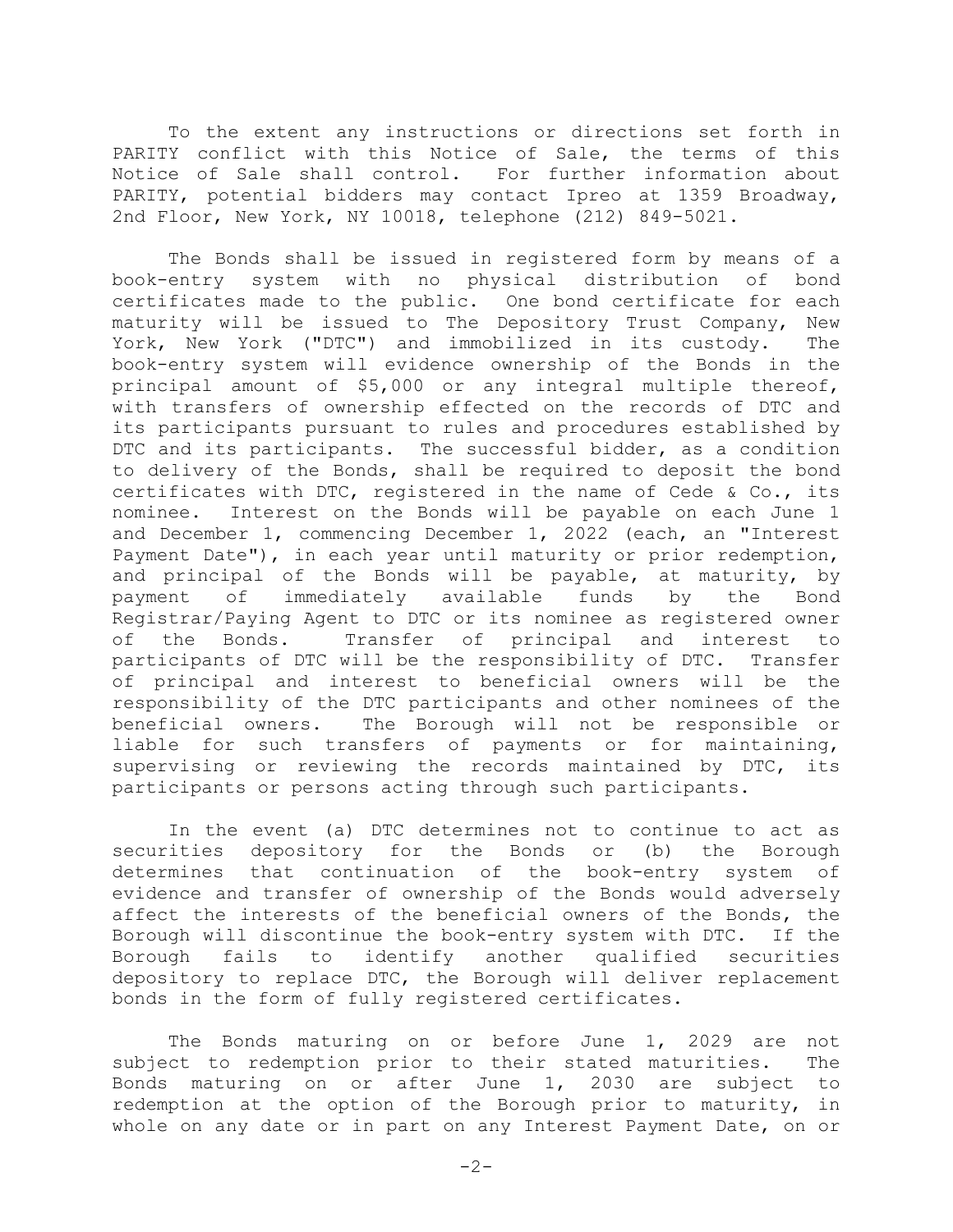To the extent any instructions or directions set forth in PARITY conflict with this Notice of Sale, the terms of this Notice of Sale shall control. For further information about PARITY, potential bidders may contact Ipreo at 1359 Broadway, 2nd Floor, New York, NY 10018, telephone (212) 849-5021.

The Bonds shall be issued in registered form by means of a book-entry system with no physical distribution of bond certificates made to the public. One bond certificate for each maturity will be issued to The Depository Trust Company, New<br>York, New York ("DTC") and immobilized in its custody. The York, New York ("DTC") and immobilized in its custody. book-entry system will evidence ownership of the Bonds in the principal amount of \$5,000 or any integral multiple thereof, with transfers of ownership effected on the records of DTC and its participants pursuant to rules and procedures established by DTC and its participants. The successful bidder, as a condition to delivery of the Bonds, shall be required to deposit the bond certificates with DTC, registered in the name of Cede & Co., its nominee. Interest on the Bonds will be payable on each June 1 and December 1, commencing December 1, 2022 (each, an "Interest Payment Date"), in each year until maturity or prior redemption, and principal of the Bonds will be payable, at maturity, by payment of immediately available funds by the Bond Registrar/Paying Agent to DTC or its nominee as registered owner<br>of the Bonds. Iransfer of principal and interest to Transfer of principal and interest participants of DTC will be the responsibility of DTC. Transfer of principal and interest to beneficial owners will be the responsibility of the DTC participants and other nominees of the beneficial owners. The Borough will not be responsible or liable for such transfers of payments or for maintaining, supervising or reviewing the records maintained by DTC, its participants or persons acting through such participants.

In the event (a) DTC determines not to continue to act as securities depository for the Bonds or (b) the Borough<br>determines that continuation of the book-entry system of determines that continuation of the book-entry system evidence and transfer of ownership of the Bonds would adversely affect the interests of the beneficial owners of the Bonds, the Borough will discontinue the book-entry system with DTC. If the Borough fails to identify another qualified securities depository to replace DTC, the Borough will deliver replacement bonds in the form of fully registered certificates.

The Bonds maturing on or before June 1, 2029 are not<br>ct to redemption prior to their stated maturities. The subject to redemption prior to their stated maturities. Bonds maturing on or after June 1, 2030 are subject to redemption at the option of the Borough prior to maturity, in whole on any date or in part on any Interest Payment Date, on or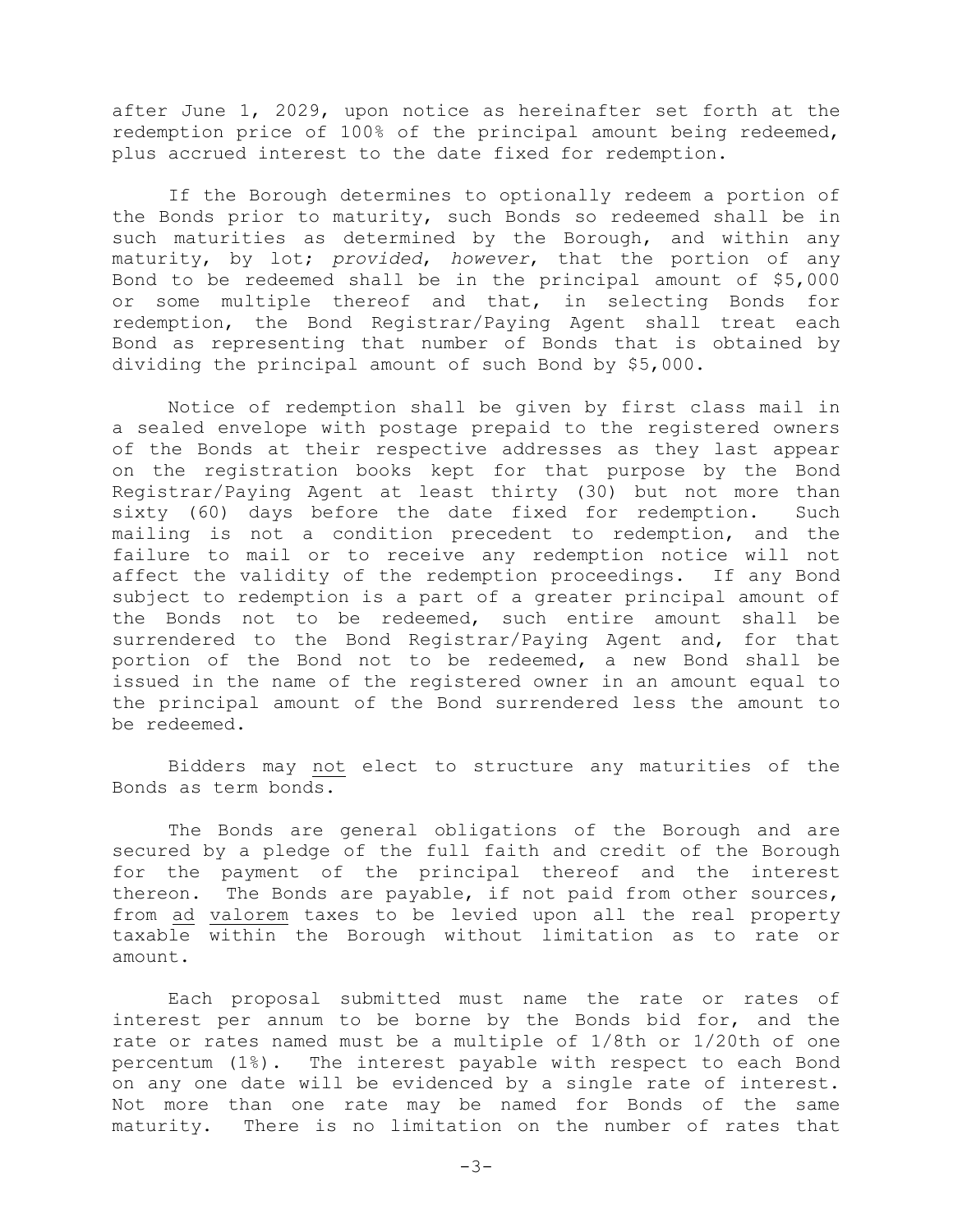after June 1, 2029, upon notice as hereinafter set forth at the redemption price of 100% of the principal amount being redeemed, plus accrued interest to the date fixed for redemption.

If the Borough determines to optionally redeem a portion of the Bonds prior to maturity, such Bonds so redeemed shall be in such maturities as determined by the Borough, and within any maturity, by lot; *provided*, *however*, that the portion of any Bond to be redeemed shall be in the principal amount of \$5,000 or some multiple thereof and that, in selecting Bonds for redemption, the Bond Registrar/Paying Agent shall treat each Bond as representing that number of Bonds that is obtained by dividing the principal amount of such Bond by \$5,000.

 Notice of redemption shall be given by first class mail in a sealed envelope with postage prepaid to the registered owners of the Bonds at their respective addresses as they last appear on the registration books kept for that purpose by the Bond Registrar/Paying Agent at least thirty (30) but not more than sixty (60) days before the date fixed for redemption. Such mailing is not a condition precedent to redemption, and the failure to mail or to receive any redemption notice will not affect the validity of the redemption proceedings. If any Bond subject to redemption is a part of a greater principal amount of the Bonds not to be redeemed, such entire amount shall be surrendered to the Bond Registrar/Paying Agent and, for that portion of the Bond not to be redeemed, a new Bond shall be issued in the name of the registered owner in an amount equal to the principal amount of the Bond surrendered less the amount to be redeemed.

 Bidders may not elect to structure any maturities of the Bonds as term bonds.

The Bonds are general obligations of the Borough and are secured by a pledge of the full faith and credit of the Borough for the payment of the principal thereof and the interest thereon. The Bonds are payable, if not paid from other sources, from ad valorem taxes to be levied upon all the real property taxable within the Borough without limitation as to rate or amount.

Each proposal submitted must name the rate or rates of interest per annum to be borne by the Bonds bid for, and the rate or rates named must be a multiple of 1/8th or 1/20th of one percentum (1%). The interest payable with respect to each Bond on any one date will be evidenced by a single rate of interest. Not more than one rate may be named for Bonds of the same maturity. There is no limitation on the number of rates that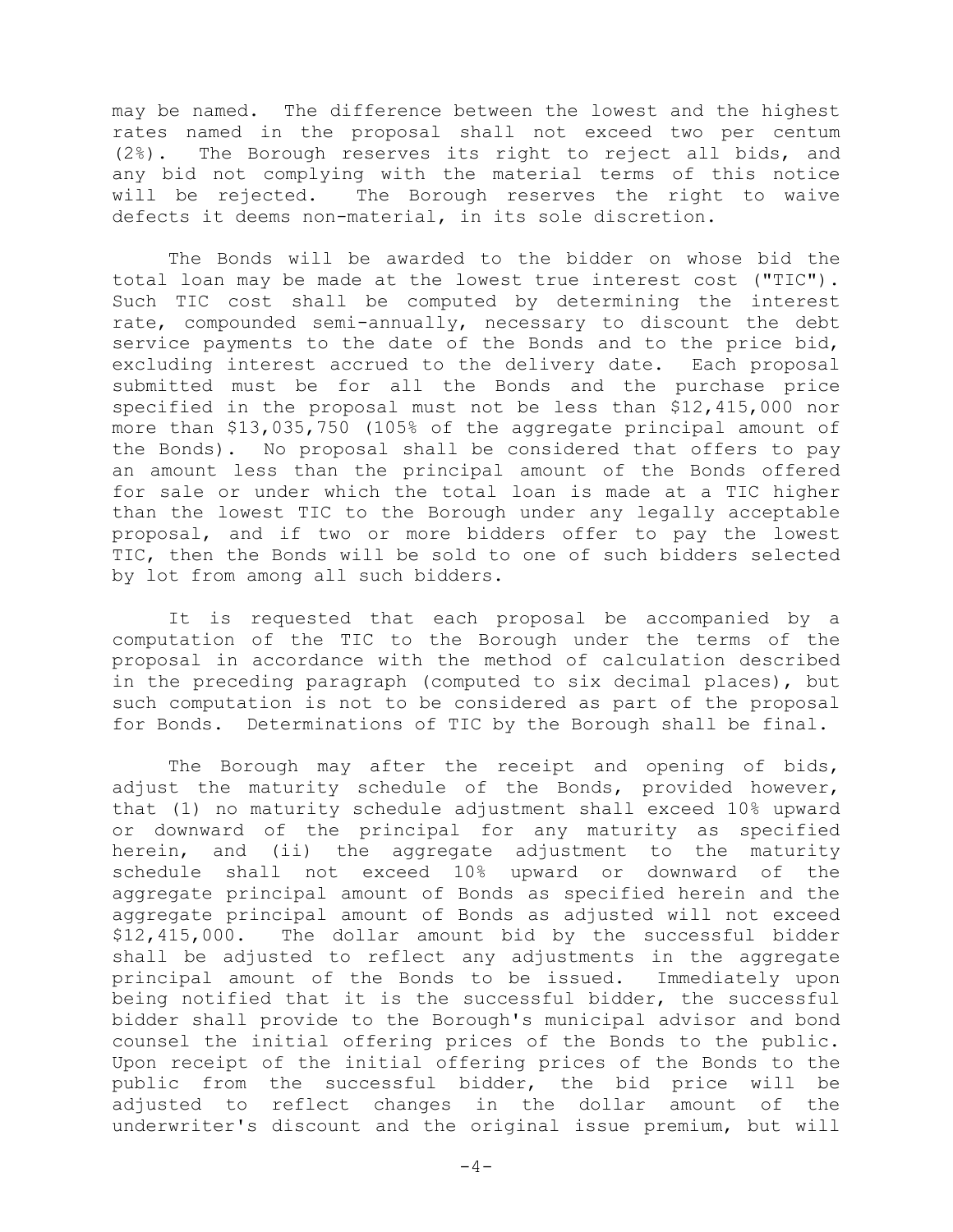may be named. The difference between the lowest and the highest rates named in the proposal shall not exceed two per centum (2%). The Borough reserves its right to reject all bids, and any bid not complying with the material terms of this notice will be rejected. The Borough reserves the right to waive defects it deems non-material, in its sole discretion.

The Bonds will be awarded to the bidder on whose bid the total loan may be made at the lowest true interest cost ("TIC"). Such TIC cost shall be computed by determining the interest rate, compounded semi-annually, necessary to discount the debt service payments to the date of the Bonds and to the price bid, excluding interest accrued to the delivery date. Each proposal submitted must be for all the Bonds and the purchase price specified in the proposal must not be less than \$12,415,000 nor more than \$13,035,750 (105% of the aggregate principal amount of the Bonds). No proposal shall be considered that offers to pay an amount less than the principal amount of the Bonds offered for sale or under which the total loan is made at a TIC higher than the lowest TIC to the Borough under any legally acceptable proposal, and if two or more bidders offer to pay the lowest TIC, then the Bonds will be sold to one of such bidders selected by lot from among all such bidders.

It is requested that each proposal be accompanied by a computation of the TIC to the Borough under the terms of the proposal in accordance with the method of calculation described in the preceding paragraph (computed to six decimal places), but such computation is not to be considered as part of the proposal for Bonds. Determinations of TIC by the Borough shall be final.

The Borough may after the receipt and opening of bids, adjust the maturity schedule of the Bonds, provided however, that (1) no maturity schedule adjustment shall exceed 10% upward or downward of the principal for any maturity as specified herein, and (ii) the aggregate adjustment to the maturity schedule shall not exceed 10% upward or downward of the aggregate principal amount of Bonds as specified herein and the aggregate principal amount of Bonds as adjusted will not exceed \$12,415,000. The dollar amount bid by the successful bidder shall be adjusted to reflect any adjustments in the aggregate<br>principal amount of the Bonds to be issued. Immediately upon principal amount of the Bonds to be issued. being notified that it is the successful bidder, the successful bidder shall provide to the Borough's municipal advisor and bond counsel the initial offering prices of the Bonds to the public. Upon receipt of the initial offering prices of the Bonds to the public from the successful bidder, the bid price will be adjusted to reflect changes in the dollar amount of the underwriter's discount and the original issue premium, but will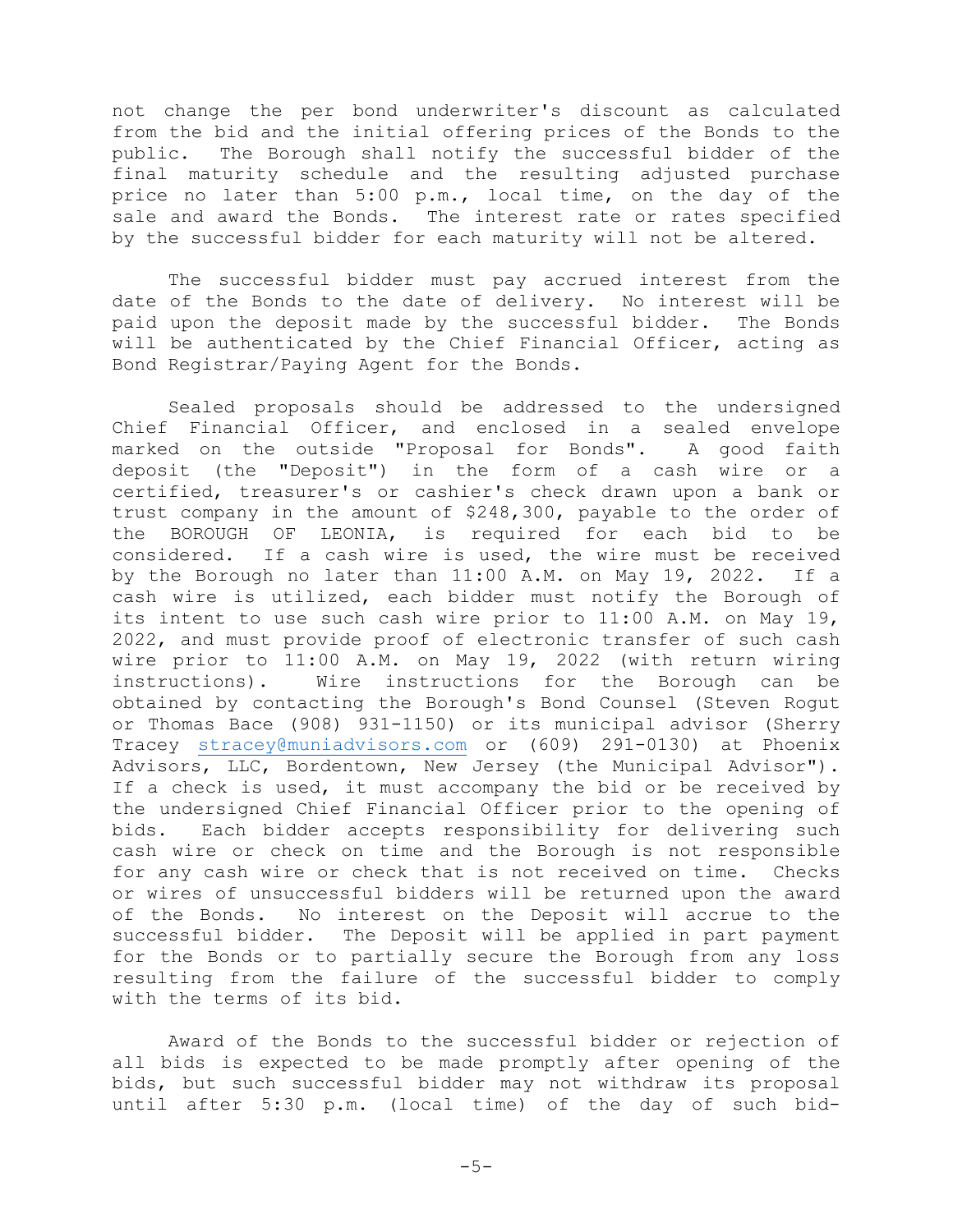not change the per bond underwriter's discount as calculated from the bid and the initial offering prices of the Bonds to the public. The Borough shall notify the successful bidder of the final maturity schedule and the resulting adjusted purchase price no later than 5:00 p.m., local time, on the day of the sale and award the Bonds. The interest rate or rates specified by the successful bidder for each maturity will not be altered.

 The successful bidder must pay accrued interest from the date of the Bonds to the date of delivery. No interest will be paid upon the deposit made by the successful bidder. The Bonds will be authenticated by the Chief Financial Officer, acting as Bond Registrar/Paying Agent for the Bonds.

Sealed proposals should be addressed to the undersigned Chief Financial Officer, and enclosed in a sealed envelope marked on the outside "Proposal for Bonds". A good faith deposit (the "Deposit") in the form of a cash wire or a certified, treasurer's or cashier's check drawn upon a bank or trust company in the amount of \$248,300, payable to the order of<br>the BOROUGH OF LEONIA, is required for each bid to be is required for each bid to be considered. If a cash wire is used, the wire must be received<br>by the Borough no later than 11:00 A.M. on May 19, 2022. If a by the Borough no later than  $11:00$  A.M. on May  $19$ , 2022. cash wire is utilized, each bidder must notify the Borough of its intent to use such cash wire prior to 11:00 A.M. on May 19, 2022, and must provide proof of electronic transfer of such cash wire prior to 11:00 A.M. on May 19, 2022 (with return wiring<br>instructions). Wire instructions for the Borough can be Wire instructions for the Borough can be obtained by contacting the Borough's Bond Counsel (Steven Rogut or Thomas Bace (908) 931-1150) or its municipal advisor (Sherry Tracey [stracey@muniadvisors.com](mailto:stracey@muniadvisors.com) or (609) 291-0130) at Phoenix Advisors, LLC, Bordentown, New Jersey (the Municipal Advisor"). If a check is used, it must accompany the bid or be received by the undersigned Chief Financial Officer prior to the opening of<br>bids. Each bidder accepts responsibility for delivering such Each bidder accepts responsibility for delivering such cash wire or check on time and the Borough is not responsible for any cash wire or check that is not received on time. Checks or wires of unsuccessful bidders will be returned upon the award<br>of the Bonds. No interest on the Deposit will accrue to the No interest on the Deposit will accrue to the successful bidder. The Deposit will be applied in part payment for the Bonds or to partially secure the Borough from any loss resulting from the failure of the successful bidder to comply with the terms of its bid.

Award of the Bonds to the successful bidder or rejection of all bids is expected to be made promptly after opening of the bids, but such successful bidder may not withdraw its proposal until after 5:30 p.m. (local time) of the day of such bid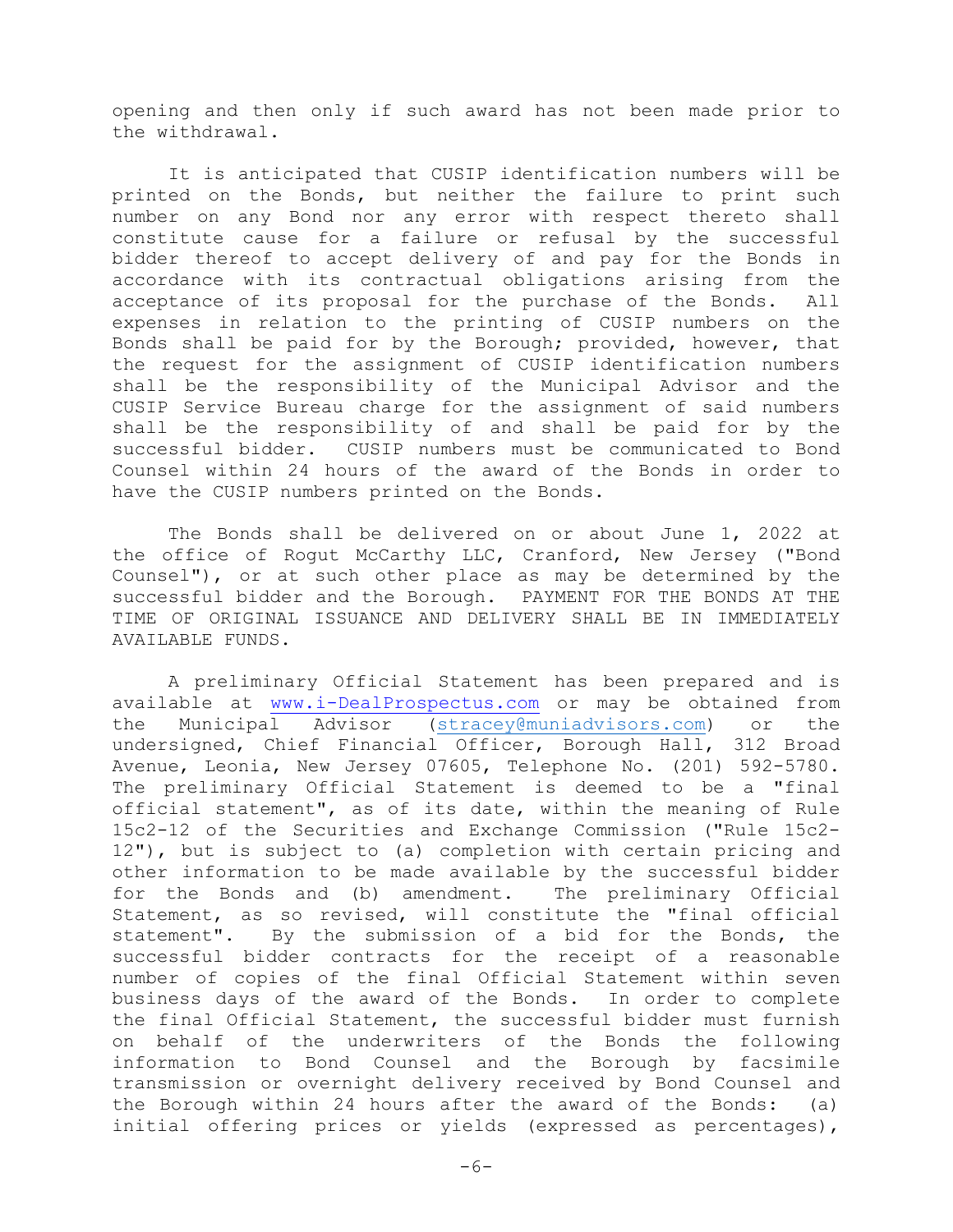opening and then only if such award has not been made prior to the withdrawal.

 It is anticipated that CUSIP identification numbers will be printed on the Bonds, but neither the failure to print such number on any Bond nor any error with respect thereto shall constitute cause for a failure or refusal by the successful bidder thereof to accept delivery of and pay for the Bonds in accordance with its contractual obligations arising from the<br>acceptance of its proposal for the purchase of the Bonds. All acceptance of its proposal for the purchase of the Bonds. expenses in relation to the printing of CUSIP numbers on the Bonds shall be paid for by the Borough; provided, however, that the request for the assignment of CUSIP identification numbers shall be the responsibility of the Municipal Advisor and the CUSIP Service Bureau charge for the assignment of said numbers shall be the responsibility of and shall be paid for by the successful bidder. CUSIP numbers must be communicated to Bond Counsel within 24 hours of the award of the Bonds in order to have the CUSIP numbers printed on the Bonds.

The Bonds shall be delivered on or about June 1, 2022 at the office of Rogut McCarthy LLC, Cranford, New Jersey ("Bond Counsel"), or at such other place as may be determined by the successful bidder and the Borough. PAYMENT FOR THE BONDS AT THE TIME OF ORIGINAL ISSUANCE AND DELIVERY SHALL BE IN IMMEDIATELY AVAILABLE FUNDS.

A preliminary Official Statement has been prepared and is available at [www.i-DealProspectus.com](http://www.idealprospectus.com/) or may be obtained from the Municipal Advisor [\(stracey@muniadvisors.com\)](mailto:stracey@muniadvisors.com) or the undersigned, Chief Financial Officer, Borough Hall, 312 Broad Avenue, Leonia, New Jersey 07605, Telephone No. (201) 592-5780. The preliminary Official Statement is deemed to be a "final official statement", as of its date, within the meaning of Rule 15c2-12 of the Securities and Exchange Commission ("Rule 15c2- 12"), but is subject to (a) completion with certain pricing and other information to be made available by the successful bidder for the Bonds and (b) amendment. The preliminary Official Statement, as so revised, will constitute the "final official statement". By the submission of a bid for the Bonds, the successful bidder contracts for the receipt of a reasonable number of copies of the final Official Statement within seven business days of the award of the Bonds. In order to complete the final Official Statement, the successful bidder must furnish on behalf of the underwriters of the Bonds the following information to Bond Counsel and the Borough by facsimile transmission or overnight delivery received by Bond Counsel and the Borough within 24 hours after the award of the Bonds: (a) initial offering prices or yields (expressed as percentages),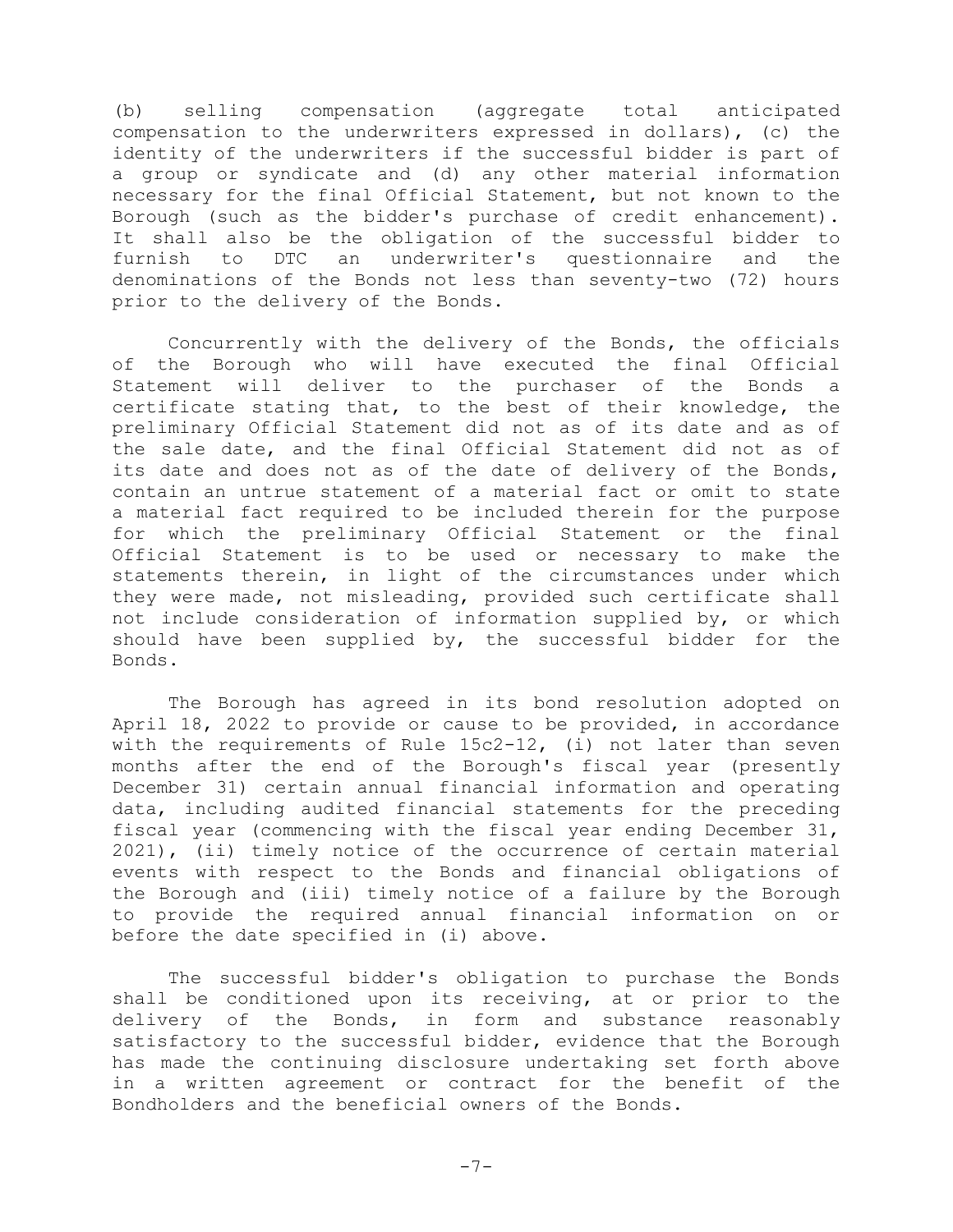(b) selling compensation (aggregate total anticipated compensation to the underwriters expressed in dollars), (c) the identity of the underwriters if the successful bidder is part of a group or syndicate and (d) any other material information necessary for the final Official Statement, but not known to the Borough (such as the bidder's purchase of credit enhancement). It shall also be the obligation of the successful bidder to furnish to DTC an underwriter's questionnaire and the denominations of the Bonds not less than seventy-two (72) hours prior to the delivery of the Bonds.

Concurrently with the delivery of the Bonds, the officials of the Borough who will have executed the final Official Statement will deliver to the purchaser of the Bonds a certificate stating that, to the best of their knowledge, the preliminary Official Statement did not as of its date and as of the sale date, and the final Official Statement did not as of its date and does not as of the date of delivery of the Bonds, contain an untrue statement of a material fact or omit to state a material fact required to be included therein for the purpose for which the preliminary Official Statement or the final Official Statement is to be used or necessary to make the statements therein, in light of the circumstances under which they were made, not misleading, provided such certificate shall not include consideration of information supplied by, or which should have been supplied by, the successful bidder for the Bonds.

The Borough has agreed in its bond resolution adopted on April 18, 2022 to provide or cause to be provided, in accordance with the requirements of Rule 15c2-12, (i) not later than seven months after the end of the Borough's fiscal year (presently December 31) certain annual financial information and operating data, including audited financial statements for the preceding fiscal year (commencing with the fiscal year ending December 31, 2021), (ii) timely notice of the occurrence of certain material events with respect to the Bonds and financial obligations of the Borough and (iii) timely notice of a failure by the Borough to provide the required annual financial information on or before the date specified in (i) above.

The successful bidder's obligation to purchase the Bonds shall be conditioned upon its receiving, at or prior to the delivery of the Bonds, in form and substance reasonably satisfactory to the successful bidder, evidence that the Borough has made the continuing disclosure undertaking set forth above in a written agreement or contract for the benefit of the Bondholders and the beneficial owners of the Bonds.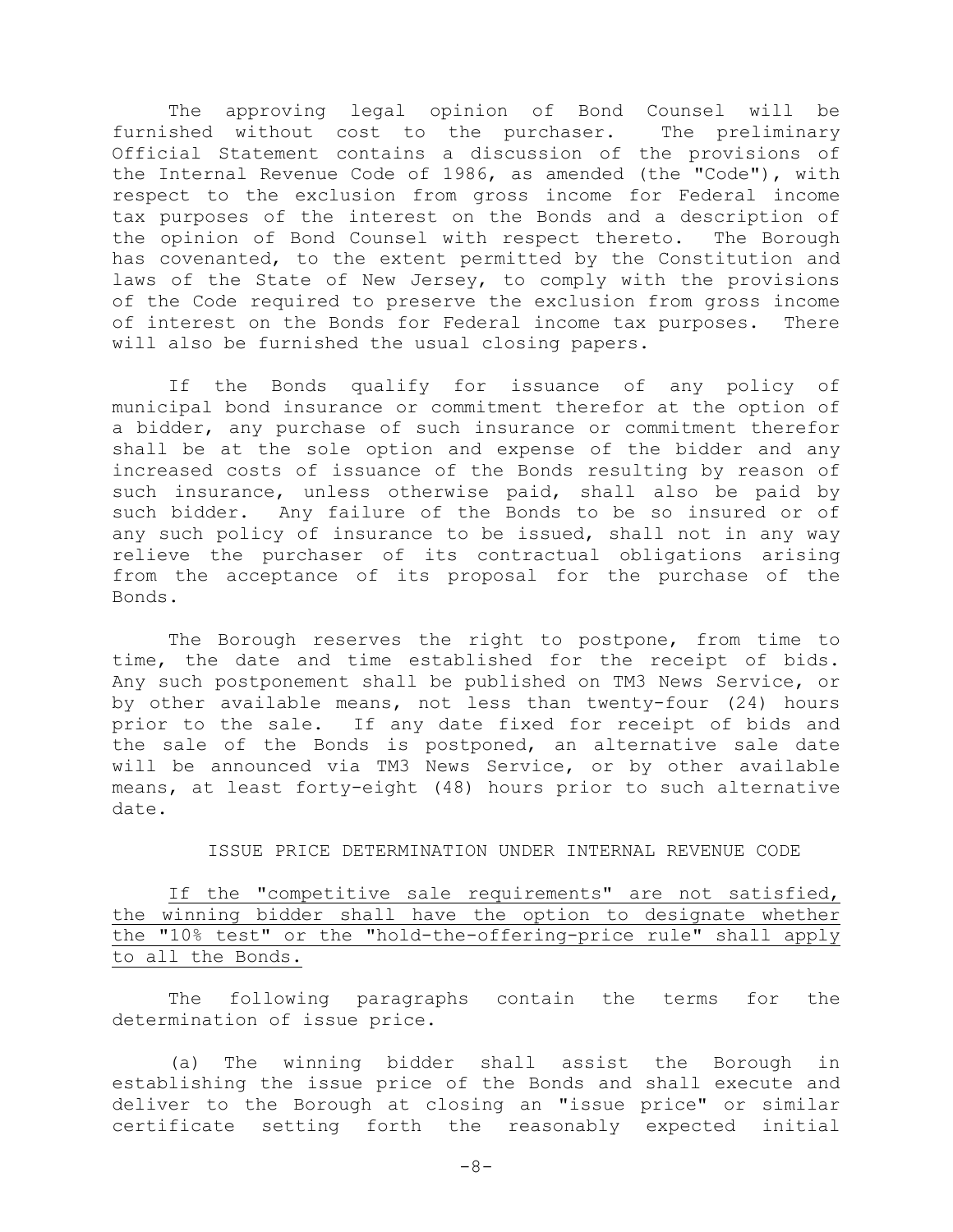The approving legal opinion of Bond Counsel will be<br>shed without cost to the purchaser. The preliminary furnished without cost to the purchaser. Official Statement contains a discussion of the provisions of the Internal Revenue Code of 1986, as amended (the "Code"), with respect to the exclusion from gross income for Federal income tax purposes of the interest on the Bonds and a description of the opinion of Bond Counsel with respect thereto. The Borough has covenanted, to the extent permitted by the Constitution and laws of the State of New Jersey, to comply with the provisions of the Code required to preserve the exclusion from gross income of interest on the Bonds for Federal income tax purposes. There will also be furnished the usual closing papers.

If the Bonds qualify for issuance of any policy of municipal bond insurance or commitment therefor at the option of a bidder, any purchase of such insurance or commitment therefor shall be at the sole option and expense of the bidder and any increased costs of issuance of the Bonds resulting by reason of such insurance, unless otherwise paid, shall also be paid by such bidder. Any failure of the Bonds to be so insured or of any such policy of insurance to be issued, shall not in any way relieve the purchaser of its contractual obligations arising from the acceptance of its proposal for the purchase of the Bonds.

The Borough reserves the right to postpone, from time to time, the date and time established for the receipt of bids. Any such postponement shall be published on TM3 News Service, or by other available means, not less than twenty-four (24) hours prior to the sale. If any date fixed for receipt of bids and the sale of the Bonds is postponed, an alternative sale date will be announced via TM3 News Service, or by other available means, at least forty-eight (48) hours prior to such alternative date.

## ISSUE PRICE DETERMINATION UNDER INTERNAL REVENUE CODE

If the "competitive sale requirements" are not satisfied, the winning bidder shall have the option to designate whether the "10% test" or the "hold-the-offering-price rule" shall apply to all the Bonds.

The following paragraphs contain the terms for the determination of issue price.

(a) The winning bidder shall assist the Borough in establishing the issue price of the Bonds and shall execute and deliver to the Borough at closing an "issue price" or similar certificate setting forth the reasonably expected initial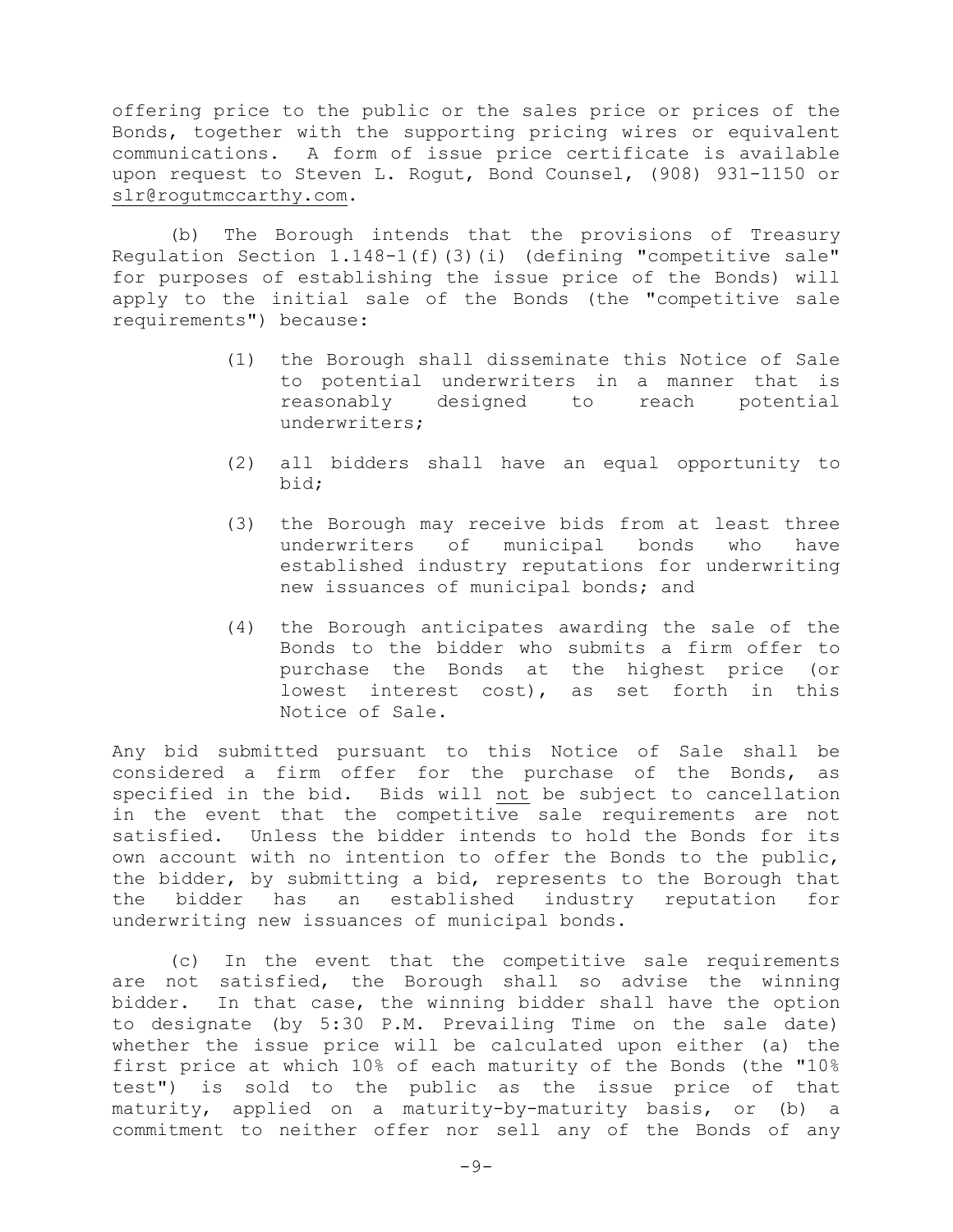offering price to the public or the sales price or prices of the Bonds, together with the supporting pricing wires or equivalent communications. A form of issue price certificate is available upon request to Steven L. Rogut, Bond Counsel, (908) 931-1150 or [slr@rogutmccarthy.com.](mailto:slr@rogutmccarthy.com)

(b) The Borough intends that the provisions of Treasury Regulation Section 1.148-1(f)(3)(i) (defining "competitive sale" for purposes of establishing the issue price of the Bonds) will apply to the initial sale of the Bonds (the "competitive sale requirements") because:

- (1) the Borough shall disseminate this Notice of Sale to potential underwriters in a manner that is<br>reasonably designed to reach potential designed to underwriters;
- (2) all bidders shall have an equal opportunity to bid;
- (3) the Borough may receive bids from at least three<br>underwriters of municipal bonds who have underwriters of municipal bonds established industry reputations for underwriting new issuances of municipal bonds; and
- (4) the Borough anticipates awarding the sale of the Bonds to the bidder who submits a firm offer to purchase the Bonds at the highest price (or lowest interest cost), as set forth in this Notice of Sale.

Any bid submitted pursuant to this Notice of Sale shall be considered a firm offer for the purchase of the Bonds, as specified in the bid**.** Bids will not be subject to cancellation in the event that the competitive sale requirements are not satisfied. Unless the bidder intends to hold the Bonds for its own account with no intention to offer the Bonds to the public, the bidder, by submitting a bid, represents to the Borough that the bidder has an established industry reputation for underwriting new issuances of municipal bonds.

(c) In the event that the competitive sale requirements are not satisfied, the Borough shall so advise the winning bidder. In that case, the winning bidder shall have the option to designate (by 5:30 P.M. Prevailing Time on the sale date) whether the issue price will be calculated upon either (a) the first price at which 10% of each maturity of the Bonds (the "10% test") is sold to the public as the issue price of that maturity, applied on a maturity-by-maturity basis, or (b) a commitment to neither offer nor sell any of the Bonds of any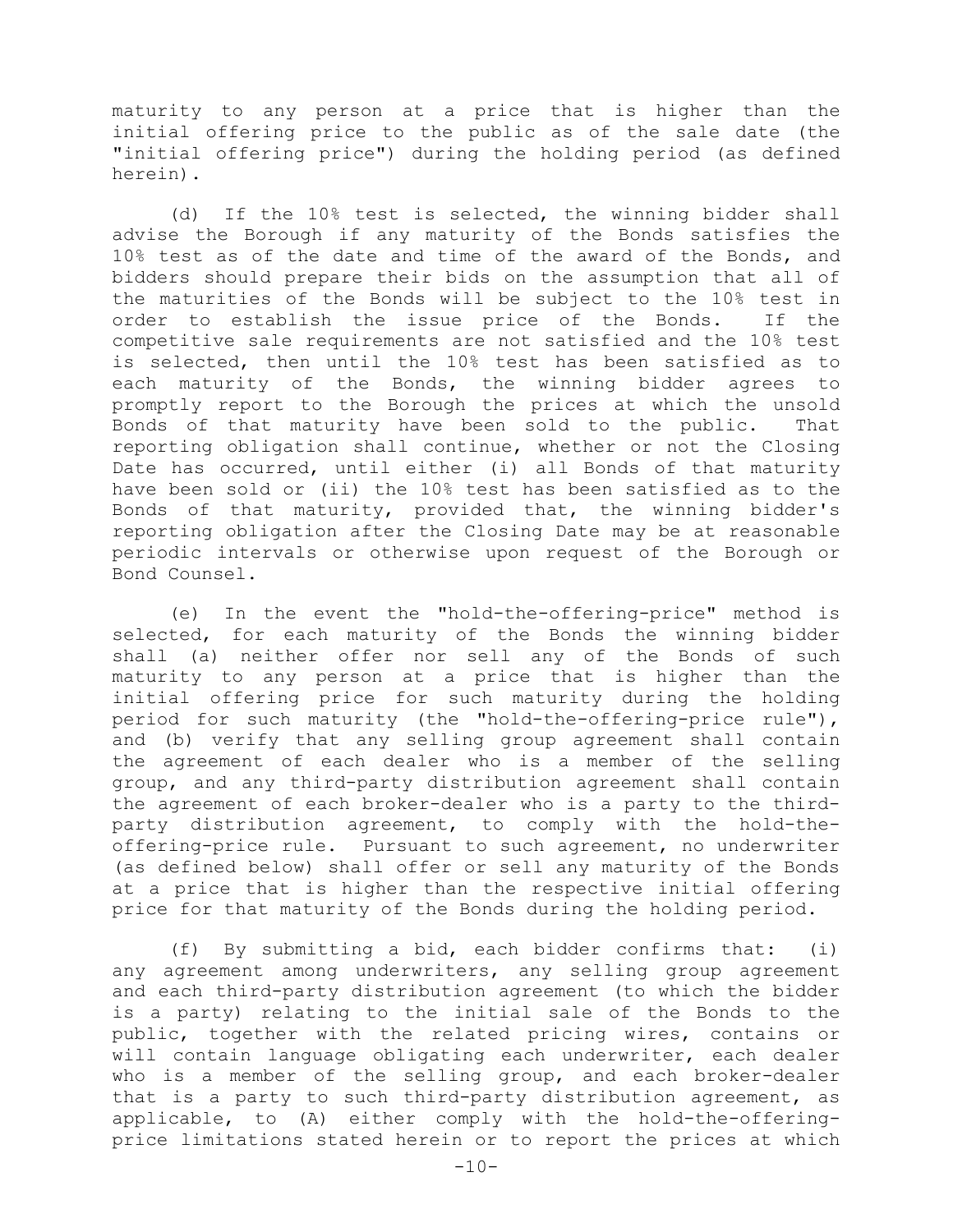maturity to any person at a price that is higher than the initial offering price to the public as of the sale date (the "initial offering price") during the holding period (as defined herein).

(d) If the 10% test is selected, the winning bidder shall advise the Borough if any maturity of the Bonds satisfies the 10% test as of the date and time of the award of the Bonds, and bidders should prepare their bids on the assumption that all of the maturities of the Bonds will be subject to the 10% test in<br>order to establish the issue price of the Bonds. If the order to establish the issue price of the Bonds. competitive sale requirements are not satisfied and the 10% test is selected, then until the 10% test has been satisfied as to<br>each maturity of the Bonds, the winning bidder agrees to each maturity of the Bonds, the winning bidder agrees promptly report to the Borough the prices at which the unsold Bonds of that maturity have been sold to the public. That reporting obligation shall continue, whether or not the Closing Date has occurred, until either (i) all Bonds of that maturity have been sold or (ii) the 10% test has been satisfied as to the Bonds of that maturity, provided that, the winning bidder's reporting obligation after the Closing Date may be at reasonable periodic intervals or otherwise upon request of the Borough or Bond Counsel.

(e) In the event the "hold-the-offering-price" method is selected, for each maturity of the Bonds the winning bidder shall (a) neither offer nor sell any of the Bonds of such maturity to any person at a price that is higher than the initial offering price for such maturity during the holding period for such maturity (the "hold-the-offering-price rule"), and (b) verify that any selling group agreement shall contain the agreement of each dealer who is a member of the selling group, and any third-party distribution agreement shall contain the agreement of each broker-dealer who is a party to the thirdparty distribution agreement, to comply with the hold-theoffering-price rule. Pursuant to such agreement, no underwriter (as defined below) shall offer or sell any maturity of the Bonds at a price that is higher than the respective initial offering price for that maturity of the Bonds during the holding period.

(f) By submitting a bid, each bidder confirms that: (i) any agreement among underwriters, any selling group agreement and each third-party distribution agreement (to which the bidder is a party) relating to the initial sale of the Bonds to the public, together with the related pricing wires, contains or will contain language obligating each underwriter, each dealer who is a member of the selling group, and each broker-dealer that is a party to such third-party distribution agreement, as applicable, to (A) either comply with the hold-the-offeringprice limitations stated herein or to report the prices at which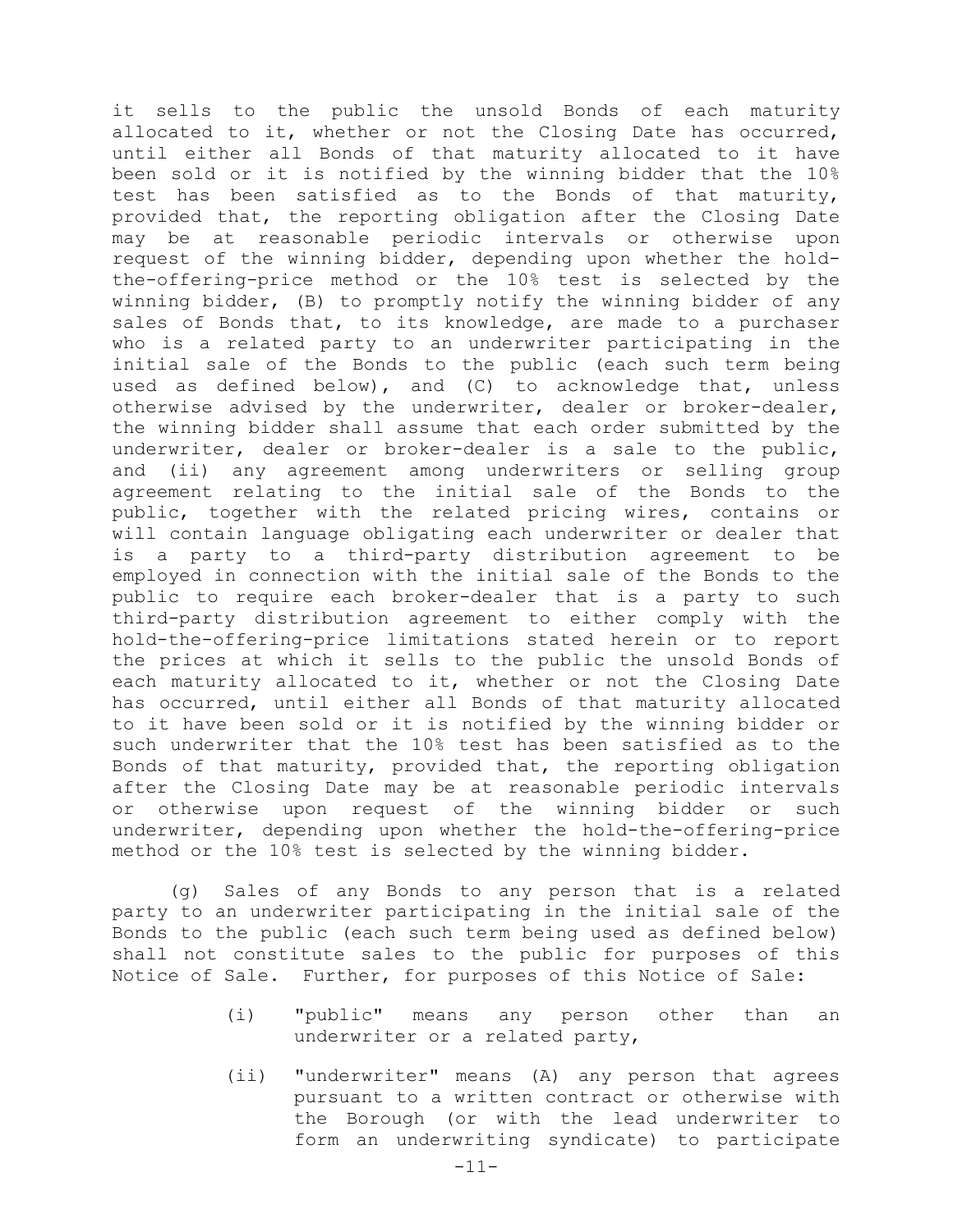it sells to the public the unsold Bonds of each maturity allocated to it, whether or not the Closing Date has occurred, until either all Bonds of that maturity allocated to it have been sold or it is notified by the winning bidder that the 10% test has been satisfied as to the Bonds of that maturity, provided that, the reporting obligation after the Closing Date may be at reasonable periodic intervals or otherwise upon request of the winning bidder, depending upon whether the holdthe-offering-price method or the 10% test is selected by the winning bidder, (B) to promptly notify the winning bidder of any sales of Bonds that, to its knowledge, are made to a purchaser who is a related party to an underwriter participating in the initial sale of the Bonds to the public (each such term being used as defined below), and (C) to acknowledge that, unless otherwise advised by the underwriter, dealer or broker-dealer, the winning bidder shall assume that each order submitted by the underwriter, dealer or broker-dealer is a sale to the public, and (ii) any agreement among underwriters or selling group agreement relating to the initial sale of the Bonds to the public, together with the related pricing wires, contains or will contain language obligating each underwriter or dealer that is a party to a third-party distribution agreement to be employed in connection with the initial sale of the Bonds to the public to require each broker-dealer that is a party to such third-party distribution agreement to either comply with the hold-the-offering-price limitations stated herein or to report the prices at which it sells to the public the unsold Bonds of each maturity allocated to it, whether or not the Closing Date has occurred, until either all Bonds of that maturity allocated to it have been sold or it is notified by the winning bidder or such underwriter that the 10% test has been satisfied as to the Bonds of that maturity, provided that, the reporting obligation after the Closing Date may be at reasonable periodic intervals or otherwise upon request of the winning bidder or such underwriter, depending upon whether the hold-the-offering-price method or the 10% test is selected by the winning bidder.

(g) Sales of any Bonds to any person that is a related party to an underwriter participating in the initial sale of the Bonds to the public (each such term being used as defined below) shall not constitute sales to the public for purposes of this Notice of Sale. Further, for purposes of this Notice of Sale:

- (i) "public" means any person other than an underwriter or a related party,
- (ii) "underwriter" means (A) any person that agrees pursuant to a written contract or otherwise with the Borough (or with the lead underwriter to form an underwriting syndicate) to participate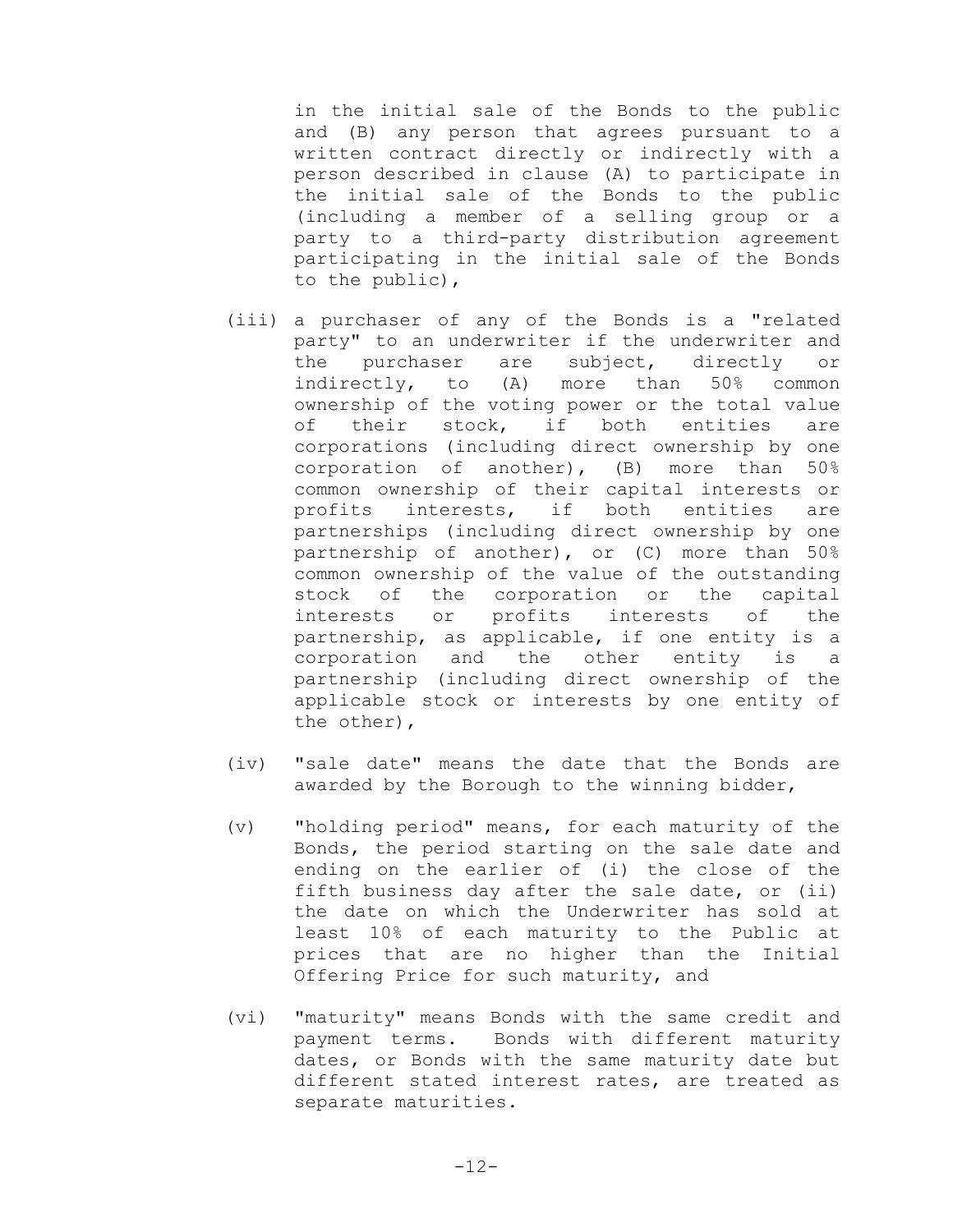in the initial sale of the Bonds to the public and (B) any person that agrees pursuant to a written contract directly or indirectly with a person described in clause (A) to participate in the initial sale of the Bonds to the public (including a member of a selling group or a party to a third-party distribution agreement participating in the initial sale of the Bonds to the public),

- (iii) a purchaser of any of the Bonds is a "related party" to an underwriter if the underwriter and<br>the purchaser are subject, directly or the purchaser are subject, directly or indirectly, to (A) more than 50% common ownership of the voting power or the total value<br>of their stock, if both entities are of their stock, if both entities are corporations (including direct ownership by one corporation of another), (B) more than 50% common ownership of their capital interests or<br>profits interests, if both entities are profits interests, if both entities are partnerships (including direct ownership by one partnership of another), or (C) more than 50% common ownership of the value of the outstanding stock of the corporation or the capital<br>interests or profits interests of the interests partnership, as applicable, if one entity is a<br>corporation and the other entity is a corporation and the other partnership (including direct ownership of the applicable stock or interests by one entity of the other),
- (iv) "sale date" means the date that the Bonds are awarded by the Borough to the winning bidder,
- (v) "holding period" means, for each maturity of the Bonds, the period starting on the sale date and ending on the earlier of (i) the close of the fifth business day after the sale date, or (ii) the date on which the Underwriter has sold at least 10% of each maturity to the Public at prices that are no higher than the Initial Offering Price for such maturity, and
- (vi) "maturity" means Bonds with the same credit and payment terms. Bonds with different maturity dates, or Bonds with the same maturity date but different stated interest rates, are treated as separate maturities.